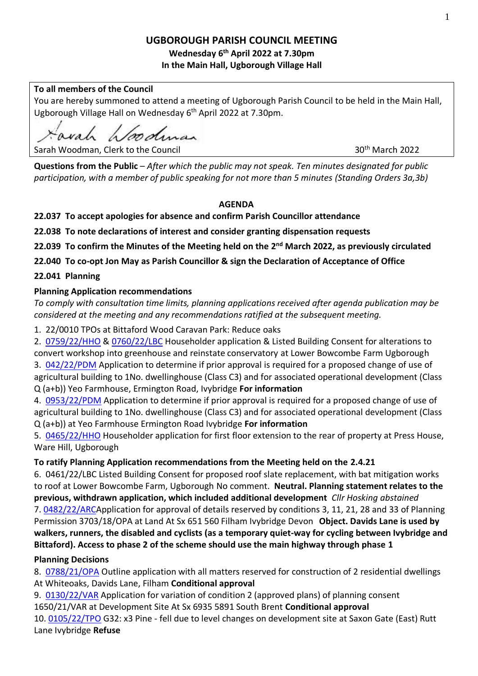# **UGBOROUGH PARISH COUNCIL MEETING**

## **Wednesday 6 th April 2022 at 7.30pm In the Main Hall, Ugborough Village Hall**

## **To all members of the Council**

You are hereby summoned to attend a meeting of Ugborough Parish Council to be held in the Main Hall, Ugborough Village Hall on Wednesday 6<sup>th</sup> April 2022 at 7.30pm.

vah h*lood*man

Sarah Woodman, Clerk to the Council 30th March 2022

**Questions from the Public** – *After which the public may not speak. Ten minutes designated for public participation, with a member of public speaking for not more than 5 minutes (Standing Orders 3a,3b)*

## **AGENDA**

**22.037 To accept apologies for absence and confirm Parish Councillor attendance**

**22.038 To note declarations of interest and consider granting dispensation requests** 

**22.039 To confirm the Minutes of the Meeting held on the 2 nd March 2022, as previously circulated**

**22.040 To co-opt Jon May as Parish Councillor & sign the Declaration of Acceptance of Office**

# **22.041 Planning**

# **Planning Application recommendations**

*To comply with consultation time limits, planning applications received after agenda publication may be considered at the meeting and any recommendations ratified at the subsequent meeting.*

1. 22/0010 TPOs at Bittaford Wood Caravan Park: Reduce oaks

2. [0759/22/HHO](http://apps.southhams.gov.uk/PlanningSearchMVC/Home/Details/220759) & [0760/22/LBC](http://apps.southhams.gov.uk/PlanningSearchMVC/Home/Details/220760) Householder application & Listed Building Consent for alterations to convert workshop into greenhouse and reinstate conservatory at Lower Bowcombe Farm Ugborough 3. [042/22/PDM](http://apps.southhams.gov.uk/PlanningSearchMVC/Home/Details/221042) Application to determine if prior approval is required for a proposed change of use of agricultural building to 1No. dwellinghouse (Class C3) and for associated operational development (Class Q (a+b)) Yeo Farmhouse, Ermington Road, Ivybridge **For information**

4. [0953/22/PDM](http://apps.southhams.gov.uk/PlanningSearchMVC/Home/Details/220953) Application to determine if prior approval is required for a proposed change of use of agricultural building to 1No. dwellinghouse (Class C3) and for associated operational development (Class Q (a+b)) at Yeo Farmhouse Ermington Road Ivybridge **For information**

5. [0465/22/HHO](http://apps.southhams.gov.uk/PlanningSearchMVC/Home/Details/220465) Householder application for first floor extension to the rear of property at Press House, Ware Hill, Ugborough

# **To ratify Planning Application recommendations from the Meeting held on the 2.4.21**

6. 0461/22/LBC Listed Building Consent for proposed roof slate replacement, with bat mitigation works to roof at Lower Bowcombe Farm, Ugborough No comment. **Neutral. Planning statement relates to the previous, withdrawn application, which included additional development** *Cllr Hosking abstained* 7. [0482/22/ARCA](http://apps.southhams.gov.uk/PlanningSearchMVC/Home/Details/220482)pplication for approval of details reserved by conditions 3, 11, 21, 28 and 33 of Planning Permission 3703/18/OPA at Land At Sx 651 560 Filham Ivybridge Devon **Object. Davids Lane is used by walkers, runners, the disabled and cyclists (as a temporary quiet-way for cycling between Ivybridge and Bittaford). Access to phase 2 of the scheme should use the main highway through phase 1** 

# **Planning Decisions**

8. [0788/21/OPA](http://apps.southhams.gov.uk/PlanningSearchMVC/Home/Details/210788) Outline application with all matters reserved for construction of 2 residential dwellings At Whiteoaks, Davids Lane, Filham **Conditional approval**

9. [0130/22/VAR](http://apps.southhams.gov.uk/PlanningSearchMVC/Home/Details/220130) Application for variation of condition 2 (approved plans) of planning consent 1650/21/VAR at Development Site At Sx 6935 5891 South Brent **Conditional approval**

10. [0105/22/TPO](http://apps.southhams.gov.uk/PlanningSearchMVC/Home/Details/220105) G32: x3 Pine - fell due to level changes on development site at Saxon Gate (East) Rutt Lane Ivybridge **Refuse**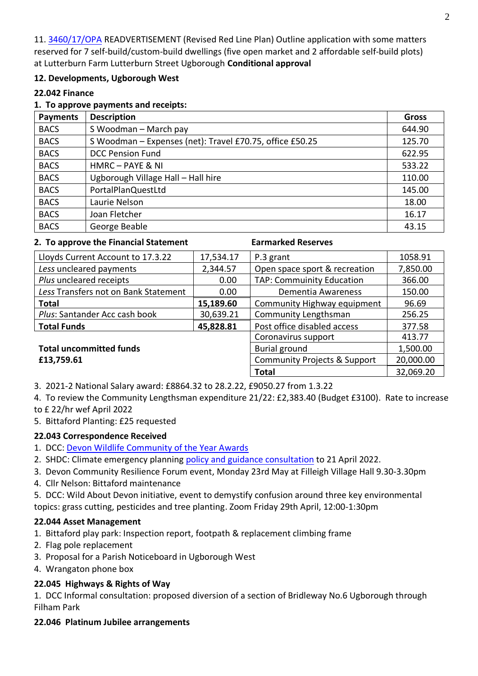11. [3460/17/OPA](http://apps.southhams.gov.uk/PlanningSearchMVC/Home/Details/173460) READVERTISEMENT (Revised Red Line Plan) Outline application with some matters reserved for 7 self-build/custom-build dwellings (five open market and 2 affordable self-build plots) at Lutterburn Farm Lutterburn Street Ugborough **Conditional approval**

## **12. Developments, Ugborough West**

#### **22.042 Finance**

#### **1. To approve payments and receipts:**

| <b>Payments</b> | <b>Description</b>                                       | <b>Gross</b> |
|-----------------|----------------------------------------------------------|--------------|
| <b>BACS</b>     | S Woodman - March pay                                    | 644.90       |
| <b>BACS</b>     | S Woodman - Expenses (net): Travel £70.75, office £50.25 | 125.70       |
| <b>BACS</b>     | <b>DCC Pension Fund</b>                                  | 622.95       |
| <b>BACS</b>     | HMRC - PAYE & NI                                         | 533.22       |
| <b>BACS</b>     | Ugborough Village Hall - Hall hire                       | 110.00       |
| <b>BACS</b>     | PortalPlanQuestLtd                                       | 145.00       |
| <b>BACS</b>     | Laurie Nelson                                            | 18.00        |
| <b>BACS</b>     | Joan Fletcher                                            | 16.17        |
| <b>BACS</b>     | George Beable                                            | 43.15        |

#### **2. To approve the Financial Statement Earmarked Reserves**

| Lloyds Current Account to 17.3.22    | 17,534.17            | P.3 grant                     | 1058.91  |
|--------------------------------------|----------------------|-------------------------------|----------|
| Less uncleared payments              | 2,344.57             | Open space sport & recreation | 7,850.00 |
| Plus uncleared receipts              | 0.00                 | TAP: Commuinity Education     | 366.00   |
| Less Transfers not on Bank Statement | 0.00                 | Dementia Awareness            | 150.00   |
| <b>Total</b>                         | 15,189.60            | Community Highway equipment   | 96.69    |
| Plus: Santander Acc cash book        | 30,639.21            | Community Lengthsman          | 256.25   |
| <b>Total Funds</b>                   | 45,828.81            | Post office disabled access   | 377.58   |
|                                      |                      | Coronavirus support           | 413.77   |
| <b>Total uncommitted funds</b>       | <b>Burial ground</b> | 1,500.00                      |          |

# **£13,759.61** Community Projects & Support

3. 2021-2 National Salary award: £8864.32 to 28.2.22, £9050.27 from 1.3.22

4. To review the Community Lengthsman expenditure 21/22: £2,383.40 (Budget £3100). Rate to increase to £ 22/hr wef April 2022

5. Bittaford Planting: £25 requested

## **22.043 Correspondence Received**

- 1. DCC: [Devon Wildlife Community of the Year Awards](https://www.devonlnp.org.uk/get-involved/wild-about-devon/devon-wildlife-community-of-the-year-awards-2021-22/)
- 2. SHDC: Climate emergency planning [policy and guidance consultation](https://www.plymouth.gov.uk/planningandbuildingcontrol/planningpolicyandguidance/climateemergencyplanningpolicyandguidance) to 21 April 2022.
- 3. Devon Community Resilience Forum event, Monday 23rd May at Filleigh Village Hall 9.30-3.30pm
- 4. Cllr Nelson: Bittaford maintenance
- 5. DCC: Wild About Devon initiative, event to demystify confusion around three key environmental

topics: grass cutting, pesticides and tree planting. Zoom Friday 29th April, 12:00-1:30pm

## **22.044 Asset Management**

- 1. Bittaford play park: Inspection report, footpath & replacement climbing frame
- 2. Flag pole replacement
- 3. Proposal for a Parish Noticeboard in Ugborough West
- 4. Wrangaton phone box

## **22.045 Highways & Rights of Way**

1. DCC Informal consultation: proposed diversion of a section of Bridleway No.6 Ugborough through Filham Park

## **22.046 Platinum Jubilee arrangements**

20,000.00

**Total** 32,069.20